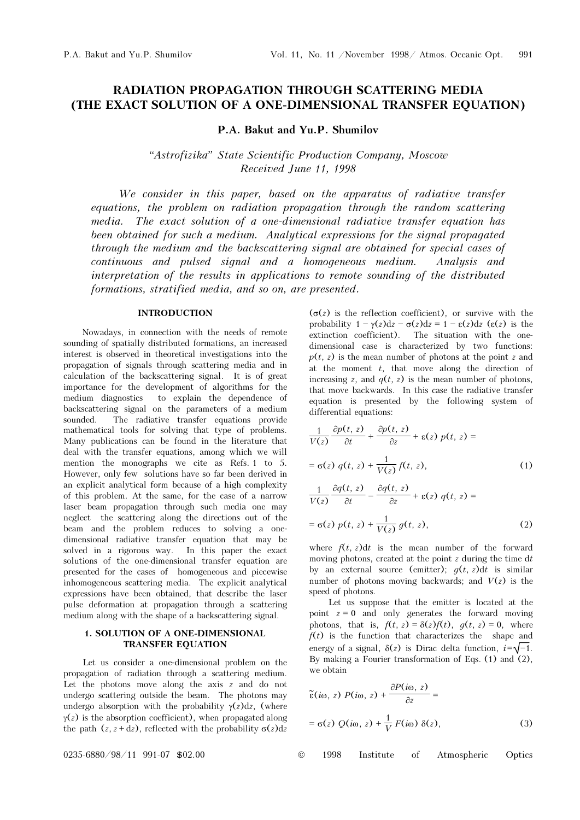# RADIATION PROPAGATION THROUGH SCATTERING MEDIA (THE EXACT SOLUTION OF A ONE-DIMENSIONAL TRANSFER EQUATION)

P.A. Bakut and Yu.P. Shumilov

"Astrofizika" State Scientific Production Company, Moscow Received June 11, 1998

We consider in this paper, based on the apparatus of radiative transfer equations, the problem on radiation propagation through the random scattering media. The exact solution of a one-dimensional radiative transfer equation has been obtained for such a medium. Analytical expressions for the signal propagated through the medium and the backscattering signal are obtained for special cases of continuous and pulsed signal and a homogeneous medium. Analysis and interpretation of the results in applications to remote sounding of the distributed formations, stratified media, and so on, are presented.

### INTRODUCTION

Nowadays, in connection with the needs of remote sounding of spatially distributed formations, an increased interest is observed in theoretical investigations into the propagation of signals through scattering media and in calculation of the backscattering signal. It is of great importance for the development of algorithms for the medium diagnostics to explain the dependence of backscattering signal on the parameters of a medium sounded. The radiative transfer equations provide mathematical tools for solving that type of problems. Many publications can be found in the literature that deal with the transfer equations, among which we will mention the monographs we cite as Refs. 1 to 5. However, only few solutions have so far been derived in an explicit analytical form because of a high complexity of this problem. At the same, for the case of a narrow laser beam propagation through such media one may neglect the scattering along the directions out of the beam and the problem reduces to solving a onedimensional radiative transfer equation that may be solved in a rigorous way. In this paper the exact solutions of the one-dimensional transfer equation are presented for the cases of homogeneous and piecewise inhomogeneous scattering media. The explicit analytical expressions have been obtained, that describe the laser pulse deformation at propagation through a scattering medium along with the shape of a backscattering signal.

### 1. SOLUTION OF A ONE-DIMENSIONAL TRANSFER EQUATION

Let us consider a one-dimensional problem on the propagation of radiation through a scattering medium. Let the photons move along the axis  $z$  and do not undergo scattering outside the beam. The photons may undergo absorption with the probability  $\gamma(z)dz$ , (where  $\gamma(z)$  is the absorption coefficient), when propagated along the path  $(z, z + dz)$ , reflected with the probability  $\sigma(z)dz$ 

 $(\sigma(z)$  is the reflection coefficient), or survive with the probability  $1 - \gamma(z)dz - \sigma(z)dz = 1 - \varepsilon(z)dz$  ( $\varepsilon(z)$ ) is the extinction coefficient). The situation with the onedimensional case is characterized by two functions:  $p(t, z)$  is the mean number of photons at the point z and at the moment  $t$ , that move along the direction of increasing z, and  $q(t, z)$  is the mean number of photons, that move backwards. In this case the radiative transfer equation is presented by the following system of differential equations:

$$
\frac{1}{V(z)}\frac{\partial p(t,z)}{\partial t} + \frac{\partial p(t,z)}{\partial z} + \varepsilon(z) p(t,z) =
$$
  
=  $\sigma(z) q(t,z) + \frac{1}{V(z)} f(t,z)$ , (1)

$$
\frac{1}{V(z)}\frac{\partial q(t,z)}{\partial t} - \frac{\partial q(t,z)}{\partial z} + \varepsilon(z) q(t,z) =
$$
  
=  $\sigma(z) p(t,z) + \frac{1}{V(z)} g(t,z)$ , (2)

where  $f(t, z)dt$  is the mean number of the forward moving photons, created at the point  $z$  during the time dt by an external source (emitter);  $g(t, z)dt$  is similar number of photons moving backwards; and  $V(z)$  is the speed of photons.

Let us suppose that the emitter is located at the point  $z = 0$  and only generates the forward moving photons, that is,  $f(t, z) = \delta(z)f(t)$ ,  $g(t, z) = 0$ , where  $f(t)$  is the function that characterizes the shape and energy of a signal,  $\delta(z)$  is Dirac delta function,  $i = \sqrt{-1}$ . By making a Fourier transformation of Eqs. (1) and (2), we obtain

$$
\tilde{\epsilon}(i\omega, z) P(i\omega, z) + \frac{\partial P(i\omega, z)}{\partial z} =
$$
  
=  $\sigma(z) Q(i\omega, z) + \frac{1}{V} F(i\omega) \delta(z),$  (3)

 $0.235 - 6880 / 98 / 11$  991-07 \$02.00 ©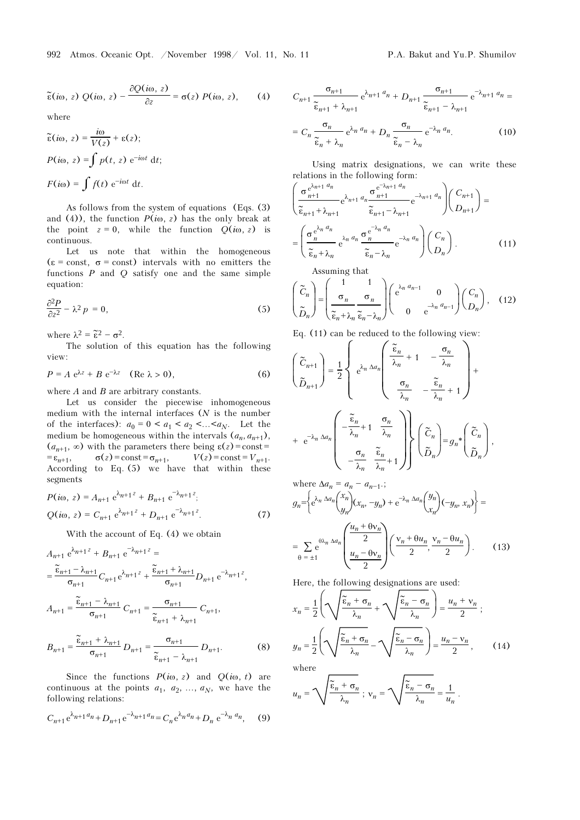$$
\widetilde{\epsilon}(i\omega, z) Q(i\omega, z) - \frac{\partial Q(i\omega, z)}{\partial z} = \sigma(z) P(i\omega, z), \qquad (4)
$$

where

$$
\tilde{\varepsilon}(i\omega, z) = \frac{i\omega}{V(z)} + \varepsilon(z);
$$
  
 
$$
P(i\omega, z) = \int p(t, z) e^{-i\omega t} dt;
$$
  
 
$$
F(i\omega) = \int f(t) e^{-i\omega t} dt.
$$

As follows from the system of equations (Eqs. (3) and (4)), the function  $P(i\omega, z)$  has the only break at the point  $z = 0$ , while the function  $Q(i\omega, z)$  is continuous.

Let us note that within the homogeneous  $\epsilon = \text{const.}$   $\sigma = \text{const.}$  intervals with no emitters the functions  $P$  and  $Q$  satisfy one and the same simple equation:

$$
\frac{\partial^2 P}{\partial z^2} - \lambda^2 p = 0,\tag{5}
$$

where  $\lambda^2 = \tilde{\epsilon}^2 - \sigma^2$ .

The solution of this equation has the following view:

$$
P = A e^{\lambda z} + B e^{-\lambda z} \quad (\text{Re } \lambda > 0), \tag{6}
$$

where  $A$  and  $B$  are arbitrary constants.

Let us consider the piecewise inhomogeneous medium with the internal interfaces  $(N$  is the number of the interfaces):  $a_0 = 0 < a_1 < a_2 < ... < a_N$ . Let the medium be homogeneous within the intervals  $(a_n, a_{n+1})$ ,  $(a_{n+1}, \infty)$  with the parameters there being  $\varepsilon(z) = \text{const} =$  $=\varepsilon_{n+1}$ ,  $\sigma(z) = \text{const} = \sigma_{n+1}$ ,  $V(z) = \text{const} = V_{n+1}$ . According to Eq. (5) we have that within these segments

$$
P(i\omega, z) = A_{n+1} e^{\lambda_{n+1} z} + B_{n+1} e^{-\lambda_{n+1} z};
$$
  
 
$$
Q(i\omega, z) = C_{n+1} e^{\lambda_{n+1} z} + D_{n+1} e^{-\lambda_{n+1} z}.
$$
 (7)

With the account of Eq. (4) we obtain

$$
A_{n+1} e^{\lambda_{n+1} z} + B_{n+1} e^{-\lambda_{n+1} z} =
$$
  
\n
$$
= \frac{\tilde{\epsilon}_{n+1} - \lambda_{n+1}}{\sigma_{n+1}} C_{n+1} e^{\lambda_{n+1} z} + \frac{\tilde{\epsilon}_{n+1} + \lambda_{n+1}}{\sigma_{n+1}} D_{n+1} e^{-\lambda_{n+1} z},
$$
  
\n
$$
A_{n+1} = \frac{\tilde{\epsilon}_{n+1} - \lambda_{n+1}}{\sigma_{n+1}} C_{n+1} = \frac{\sigma_{n+1}}{\tilde{\epsilon}_{n+1} + \lambda_{n+1}} C_{n+1},
$$

$$
B_{n+1} = \frac{\widetilde{\epsilon}_{n+1} + \lambda_{n+1}}{\sigma_{n+1}} D_{n+1} = \frac{\sigma_{n+1}}{\widetilde{\epsilon}_{n+1} - \lambda_{n+1}} D_{n+1}.
$$
 (8)

Since the functions  $P(i\omega, z)$  and  $Q(i\omega, t)$  are continuous at the points  $a_1$ ,  $a_2$ , ...,  $a_N$ , we have the following relations:

$$
C_{n+1}e^{\lambda_{n+1}a_n} + D_{n+1}e^{-\lambda_{n+1}a_n} = C_n e^{\lambda_n a_n} + D_n e^{-\lambda_n a_n}, \quad (9)
$$

$$
C_{n+1} \frac{\sigma_{n+1}}{\tilde{\epsilon}_{n+1} + \lambda_{n+1}} e^{\lambda_{n+1} a_n} + D_{n+1} \frac{\sigma_{n+1}}{\tilde{\epsilon}_{n+1} - \lambda_{n+1}} e^{-\lambda_{n+1} a_n} =
$$

$$
= C_n \frac{\sigma_n}{\tilde{\epsilon}_n + \lambda_n} e^{\lambda_n a_n} + D_n \frac{\sigma_n}{\tilde{\epsilon}_n - \lambda_n} e^{-\lambda_n a_n}.
$$
(10)

Using matrix designations, we can write these relations in the following form:

$$
\left(\frac{\sigma_{n+1}^{e^{\lambda_{n+1} a_n}}}{\tilde{\epsilon}_{n+1} + \lambda_{n+1}} e^{\lambda_{n+1} a_n} \frac{\sigma_{n+1}^{e^{-\lambda_{n+1} a_n}}}{\tilde{\epsilon}_{n+1} - \lambda_{n+1}} e^{-\lambda_{n+1} a_n} \right) \left(\frac{C_{n+1}}{D_{n+1}}\right) =
$$
\n
$$
= \left(\frac{\sigma_n^{e^{\lambda_n a_n}}}{\tilde{\epsilon}_n + \lambda_n} e^{\lambda_n a_n} \frac{\sigma_n^{e^{-\lambda_n a_n}}}{\tilde{\epsilon}_n - \lambda_n} e^{-\lambda_n a_n} \right) \left(\frac{C_n}{D_n}\right). \tag{11}
$$

Assuming that

$$
\begin{pmatrix}\n\widetilde{C}_n \\
\widetilde{D}_n\n\end{pmatrix} = \begin{pmatrix}\n1 & 1 \\
\sigma_n & \sigma_n \\
\widetilde{\epsilon}_n + \lambda_n \ \widetilde{\epsilon}_n - \lambda_n\n\end{pmatrix} \begin{pmatrix}\ne^{\lambda_n d_{n-1}} & 0 \\
0 & e^{-\lambda_n d_{n-1}}\n\end{pmatrix} \begin{pmatrix}\nC_n \\
D_n\n\end{pmatrix},
$$
\n(12)

Eq. (11) can be reduced to the following view:

$$
\begin{pmatrix}\n\tilde{C}_{n+1} \\
\tilde{D}_{n+1}\n\end{pmatrix} = \frac{1}{2} \begin{pmatrix}\n\tilde{\epsilon}_{n} & \frac{\tilde{\epsilon}_{n}}{\lambda_{n}} + 1 & -\frac{\sigma_{n}}{\lambda_{n}} \\
\frac{\sigma_{n}}{\lambda_{n}} & -\frac{\tilde{\epsilon}_{n}}{\lambda_{n}} + 1\n\end{pmatrix} + \frac{\sigma_{n}}{\lambda_{n} + \varepsilon^{-\lambda_{n} \Delta a_{n}}} \begin{pmatrix}\n-\tilde{\epsilon}_{n} & \frac{\sigma_{n}}{\lambda_{n}} \\
-\frac{\tilde{\epsilon}_{n}}{\lambda_{n}} + 1 & \frac{\sigma_{n}}{\lambda_{n}} \\
-\frac{\sigma_{n}}{\lambda_{n}} & \frac{\tilde{\epsilon}_{n}}{\lambda_{n}} + 1\n\end{pmatrix} \begin{pmatrix}\n\tilde{C}_{n} \\
\tilde{D}_{n}\n\end{pmatrix} = g_{n} * \begin{pmatrix}\n\tilde{C}_{n} \\
\tilde{D}_{n}\n\end{pmatrix},
$$

where 
$$
\Delta a_n = a_n - a_{n-1}
$$
;  
\n
$$
g_n = \left\{ e^{\lambda_n \Delta a_n} \begin{pmatrix} x_n \\ y_n \end{pmatrix} (x_n, -y_n) + e^{-\lambda_n \Delta a_n} \begin{pmatrix} y_n \\ x_n \end{pmatrix} (-y_n, x_n) \right\} =
$$
\n
$$
= \sum_{\theta = \pm 1} e^{\theta \lambda_n \Delta a_n} \left( \frac{u_n + \theta v_n}{2} \right) \left( \frac{v_n + \theta u_n}{2}, \frac{v_n - \theta u_n}{2} \right). \tag{13}
$$

Here, the following designations are used:

$$
x_n = \frac{1}{2} \left( \sqrt{\frac{\widetilde{\epsilon}_n + \sigma_n}{\lambda_n}} + \sqrt{\frac{\widetilde{\epsilon}_n - \sigma_n}{\lambda_n}} \right) = \frac{u_n + v_n}{2};
$$
  

$$
y_n = \frac{1}{2} \left( \sqrt{\frac{\widetilde{\epsilon}_n + \sigma_n}{\lambda_n}} - \sqrt{\frac{\widetilde{\epsilon}_n - \sigma_n}{\lambda_n}} \right) = \frac{u_n - v_n}{2},
$$
(14)

where

$$
u_n = \sqrt{\frac{\widetilde{\epsilon}_n + \sigma_n}{\lambda_n}} \; ; \; v_n = \sqrt{\frac{\widetilde{\epsilon}_n - \sigma_n}{\lambda_n}} = \frac{1}{u_n} \; .
$$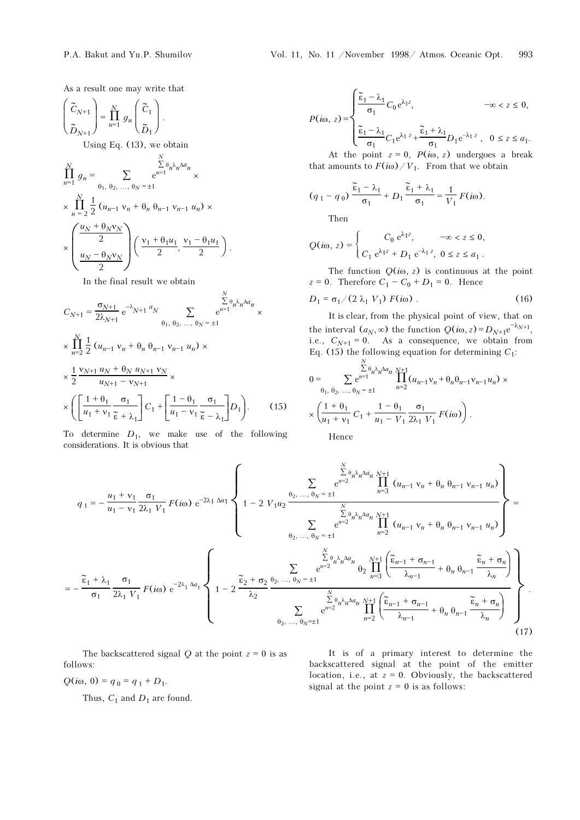As a result one may write that

$$
\begin{pmatrix}\n\widetilde{C}_{N+1} \\
\widetilde{D}_{N+1}\n\end{pmatrix} = \prod_{n=1}^{N} g_n \begin{pmatrix} \widetilde{C}_1 \\ \widetilde{D}_1 \end{pmatrix}.
$$

Using Eq. (13), we obtain

$$
\prod_{n=1}^{N} g_n = \sum_{\theta_1, \theta_2, \dots, \theta_N = \pm 1} \frac{\sum_{n=1}^{N} \theta_n \lambda_n \Delta a_n}{\sum_{n=2}^{N} \frac{1}{2} (u_{n-1} v_n + \theta_n \theta_{n-1} v_{n-1} u_n) \times \sum_{\alpha_1, \alpha_2, \alpha_3, \alpha_4, \alpha_5, \alpha_7, \alpha_8, \alpha_9, \alpha_9, \alpha_9, \alpha_1, \alpha_1, \alpha_1, \alpha_1, \alpha_2, \alpha_1, \alpha_2, \alpha_1, \alpha_2, \alpha_1, \alpha_2, \alpha_1, \alpha_2, \alpha_1, \alpha_2, \alpha_1, \alpha_2, \alpha_1, \alpha_2, \alpha_2, \alpha_1, \alpha_2, \alpha_2, \alpha_1, \alpha_2, \alpha_1, \alpha_2, \alpha_1, \alpha_2, \alpha_1, \alpha_2, \alpha_1, \alpha_2, \alpha_1, \alpha_2, \alpha_1, \alpha_2, \alpha_1, \alpha_2, \alpha_1, \alpha_2, \alpha_1, \alpha_2, \alpha_1, \alpha_2, \alpha_1, \alpha_2, \alpha_1, \alpha_2, \alpha_1, \alpha_2, \alpha_1, \alpha_2, \alpha_1, \alpha_2, \alpha_1, \alpha_2, \alpha_1, \alpha_2, \alpha_1, \alpha_2, \alpha_1, \alpha_2, \alpha_1, \alpha_2, \alpha_1, \alpha_2, \alpha_1, \alpha_2, \alpha_1, \alpha_1, \alpha_2, \alpha_1, \alpha_2, \alpha_1, \alpha_2, \alpha_1, \alpha_2, \alpha_1, \alpha_2, \alpha_1, \alpha_2, \alpha_1, \alpha_2, \alpha_1, \alpha_2, \alpha_1, \alpha_2, \alpha_1, \alpha_2, \alpha_1, \alpha_2, \alpha_1, \alpha_2, \alpha_1, \alpha_2, \alpha_1, \alpha_2, \alpha_1, \alpha_2, \alpha_1, \alpha_2, \alpha_1, \alpha_2, \alpha_1, \alpha_2, \alpha_1, \alpha_2, \alpha_1, \alpha_2, \alpha_1, \alpha_2, \alpha_1, \alpha_2, \alpha_1, \alpha_2, \alpha_1, \alpha_2, \alpha_1, \alpha_
$$

In the final result we obtain

$$
C_{N+1} = \frac{\sigma_{N+1}}{2\lambda_{N+1}} e^{-\lambda_{N+1} a_N} \sum_{\theta_1, \theta_2, ..., \theta_N = \pm 1} \frac{\sum_{n=1}^{N} \theta_n \lambda_n \Delta a_n}{e^{n+1}} \times \frac{\prod_{n=2}^{N} \frac{1}{2} (u_{n-1} v_n + \theta_n \theta_{n-1} v_{n-1} u_n) \times \frac{1}{2} \frac{v_{N+1} u_N + \theta_N u_{N+1} v_N}{u_{N+1} - v_{N+1}} \times \frac{\left(\frac{1 + \theta_1}{u_1 + v_1} \frac{\sigma_1}{\tilde{\epsilon} + \lambda_1}\right) C_1 + \left[\frac{1 - \theta_1}{u_1 - v_1} \frac{\sigma_1}{\tilde{\epsilon} - \lambda_1}\right] D_1}.
$$
 (15)

 $\ddot{\phantom{a}}$ 

To determine  $D_1$ , we make use of the following considerations. It is obvious that

$$
P(i\omega, z) = \begin{cases} \frac{\widetilde{\epsilon}_1 - \lambda_1}{\sigma_1} C_0 e^{\lambda_1 z}, & -\omega < z \le 0, \\ \frac{\widetilde{\epsilon}_1 - \lambda_1}{\sigma_1} C_1 e^{\lambda_1 z} + \frac{\widetilde{\epsilon}_1 + \lambda_1}{\sigma_1} D_1 e^{-\lambda_1 z}, & 0 \le z \le a_1. \end{cases}
$$

At the point  $z = 0$ ,  $P(i\omega, z)$  undergoes a break that amounts to  $F(i\omega)/V_1$ . From that we obtain

$$
(q_1 - q_0) \frac{\tilde{\epsilon}_1 - \lambda_1}{\sigma_1} + D_1 \frac{\tilde{\epsilon}_1 + \lambda_1}{\sigma_1} = \frac{1}{V_1} F(i\omega).
$$

Then

$$
Q(i\omega, z) = \begin{cases} C_0 e^{\lambda_1 z}, & -\infty < z \le 0, \\ C_1 e^{\lambda_1 z} + D_1 e^{-\lambda_1 z}, & 0 \le z \le a_1. \end{cases}
$$

The function  $Q(i\omega, z)$  is continuous at the point  $z = 0$ . Therefore  $C_1 - C_0 + D_1 = 0$ . Hence

$$
D_1 = \sigma_1 / (2 \lambda_1 V_1) F(i\omega) . \tag{16}
$$

It is clear, from the physical point of view, that on the interval  $(a_N, \infty)$  the function  $Q(i\omega, z) = D_{N+1}e^{-\lambda_{N+1}}$ , i.e.,  $C_{N+1} = 0$ . As a consequence, we obtain from Eq. (15) the following equation for determining  $C_1$ :

$$
0 = \sum_{\theta_1, \theta_2, ..., \theta_N = \pm 1} \sum_{n=2}^{N} e^{n-1} \prod_{n=2}^{N+1} (u_{n-1}v_n + \theta_n \theta_{n-1} v_{n-1} u_n) \times \left( \frac{1 + \theta_1}{u_1 + v_1} C_1 + \frac{1 - \theta_1}{u_1 - V_1} \frac{\sigma_1}{2\lambda_1 V_1} F(i\omega) \right).
$$

Hence

$$
q_{1} = -\frac{u_{1} + v_{1}}{u_{1} - v_{1}} \frac{\sigma_{1}}{2\lambda_{1} V_{1}} F(i\omega) e^{-2\lambda_{1} \Delta a_{1}} \left\{ 1 - 2 V_{1} u_{2} \frac{\theta_{2}, ..., \theta_{N} = \pm 1}{N} \sum_{n=3}^{N} \frac{e^{n} \lambda_{n} \Delta a_{n} N_{n+1}}{n!} (u_{n-1} v_{n} + \theta_{n} \theta_{n-1} v_{n-1} u_{n}) \right\} = -\frac{\sum_{\alpha_{1}}^{N} \frac{1}{2\lambda_{1} V_{1}} \sigma_{1}}{\sigma_{1}} F(i\omega) e^{-2\lambda_{1} \Delta a_{1}} \left\{ 1 - 2 V_{1} u_{2} \frac{\theta_{2}, ..., \theta_{N} = \pm 1}{N} \sum_{n=2}^{N} \frac{e^{n} \lambda_{n} \Delta a_{n} N_{n+1}}{n!} (u_{n-1} v_{n} + \theta_{n} \theta_{n-1} v_{n-1} u_{n}) \right\} = -\frac{\sum_{\alpha_{1}}^{N} \frac{1}{2\lambda_{1} V_{1}} \sigma_{1}}{\sigma_{1}} F(i\omega) e^{-2\lambda_{1} \Delta a_{1}} \left\{ 1 - 2 \frac{\sum_{\alpha_{2}}^{N} \frac{1}{2\lambda_{2}} \frac{1}{N} \sum_{n=2}^{N} e^{n} \lambda_{n} \Delta a_{n}}{N} \frac{\sum_{n=3}^{N} \left( \frac{\sum_{\alpha_{1}}^{N} \left( \frac{\sum_{\alpha_{1}}^{N} (1 - \sum_{\alpha_{1}}^{N} \Delta a_{\alpha_{1}}^{N} - \sum_{\alpha_{1}}^{N} \Delta a_{\alpha_{1}}^{N} - \sum_{\alpha_{1}}^{N} \Delta a_{\alpha_{1}}^{N} - \sum_{\alpha_{1}}^{N} \Delta a_{\alpha_{1}}^{N} \right)}{\sum_{\alpha_{2}, ..., \alpha_{N} = \pm 1}^{N} e^{n} \Delta a_{n}} \prod_{n=2}^{N} \left( \frac{\sum_{\alpha_{n-1}}^{N} \left( \frac{\sum_{\alpha_{1}}^{N} (1 - \sum_{\alpha_{1}}^{N} \Delta a_{\alpha_{1}}^{N} - \sum_{\alpha_{1}}^{N} - \sum_{\alpha_{1}}^{N} \Delta a_{\alpha_{1
$$

The backscattered signal Q at the point  $z = 0$  is as follows:

 $Q(i\omega, 0) = q_0 = q_1 + D_1.$ 

Thus,  $C_1$  and  $D_1$  are found.

It is of a primary interest to determine the backscattered signal at the point of the emitter location, i.e., at  $z = 0$ . Obviously, the backscattered signal at the point  $z = 0$  is as follows: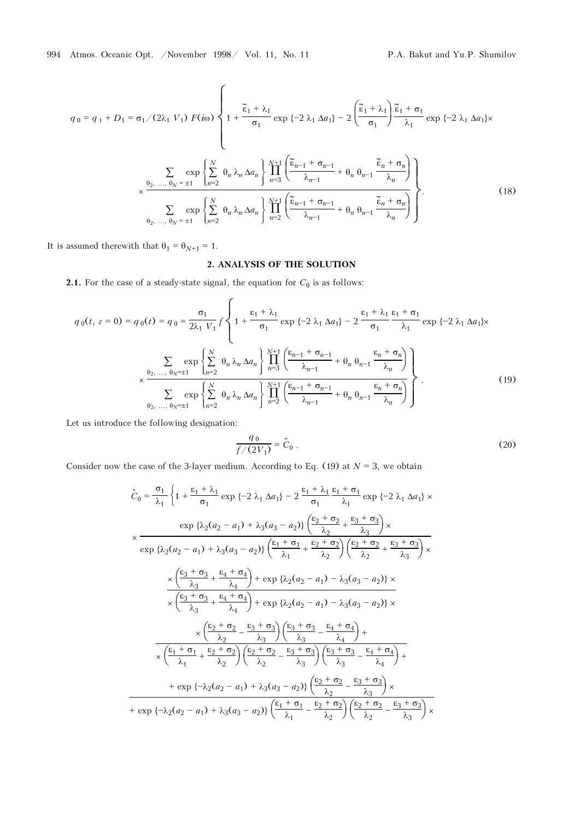$$
q_0 = q_1 + D_1 = \sigma_1/(2\lambda_1 V_1) F(i\omega) \left\{ 1 + \frac{\tilde{\epsilon}_1 + \lambda_1}{\sigma_1} \exp\{-2\lambda_1 \Delta a_1\} - 2 \left( \frac{\tilde{\epsilon}_1 + \lambda_1}{\sigma_1} \right) \frac{\tilde{\epsilon}_1 + \sigma_1}{\lambda_1} \exp\{-2\lambda_1 \Delta a_1\} \times \right\}
$$

$$
\sum_{\alpha_2, \dots, \theta_N = \pm 1} \exp\left\{ \sum_{n=2}^N \theta_n \lambda_n \Delta a_n \right\} \prod_{n=3}^{N+1} \left( \frac{\tilde{\epsilon}_{n-1} + \sigma_{n-1}}{\lambda_{n-1}} + \theta_n \theta_{n-1} \frac{\tilde{\epsilon}_n + \sigma_n}{\lambda_n} \right)
$$

$$
\sum_{\theta_2, \dots, \theta_N = \pm 1} \exp\left\{ \sum_{n=2}^N \theta_n \lambda_n \Delta a_n \right\} \prod_{n=2}^{N+1} \left( \frac{\tilde{\epsilon}_{n-1} + \sigma_{n-1}}{\lambda_{n-1}} + \theta_n \theta_{n-1} \frac{\tilde{\epsilon}_n + \sigma_n}{\lambda_n} \right) \right\}.
$$
(18)

It is assumed therewith that  $\theta_1=\theta_{N+1}=1.$ 

## 2. ANALYSIS OF THE SOLUTION

**2.1.** For the case of a steady-state signal, the equation for  $C_0$  is as follows:

$$
q_{0}(t, z = 0) = q_{0}(t) = q_{0} = \frac{\sigma_{1}}{2\lambda_{1} V_{1}} f \left\{ 1 + \frac{\epsilon_{1} + \lambda_{1}}{\sigma_{1}} \exp \{-2 \lambda_{1} \Delta a_{1}\} - 2 \frac{\epsilon_{1} + \lambda_{1}}{\sigma_{1}} \frac{\epsilon_{1} + \sigma_{1}}{\lambda_{1}} \exp \{-2 \lambda_{1} \Delta a_{1}\} \times \frac{\sum_{\theta_{2}, \dots, \theta_{N} = \pm 1} \exp \left\{ \sum_{n=2}^{N} \theta_{n} \lambda_{n} \Delta a_{n} \right\} \prod_{n=3}^{N+1} \left( \frac{\epsilon_{n-1} + \sigma_{n-1}}{\lambda_{n-1}} + \theta_{n} \theta_{n-1} \frac{\epsilon_{n} + \sigma_{n}}{\lambda_{n}} \right)}{\sum_{\theta_{2}, \dots, \theta_{N} = \pm 1} \exp \left\{ \sum_{n=2}^{N} \theta_{n} \lambda_{n} \Delta a_{n} \right\} \prod_{n=2}^{N+1} \left( \frac{\epsilon_{n-1} + \sigma_{n-1}}{\lambda_{n-1}} + \theta_{n} \theta_{n-1} \frac{\epsilon_{n} + \sigma_{n}}{\lambda_{n}} \right)} \right\}.
$$
 (19)

Let us introduce the following designation:

$$
\frac{q_0}{f/(2V_1)} = \hat{C}_0 \ . \tag{20}
$$

Consider now the case of the 3-layer medium. According to Eq. (19) at  $N = 3$ , we obtain

$$
\hat{C}_0 = \frac{\sigma_1}{\lambda_1} \left\{ 1 + \frac{\epsilon_1 + \lambda_1}{\sigma_1} \exp \{-2 \lambda_1 \Delta a_1\} - 2 \frac{\epsilon_1 + \lambda_1}{\sigma_1} \frac{\epsilon_1 + \sigma_1}{\lambda_1} \exp \{-2 \lambda_1 \Delta a_1\} \times \frac{\exp \{\lambda_2(a_2 - a_1) + \lambda_3(a_3 - a_2)\} \left(\frac{\epsilon_2 + \sigma_2}{\lambda_2} + \frac{\epsilon_3 + \sigma_3}{\lambda_3}\right) \times \right.}{\exp \{\lambda_2(a_2 - a_1) + \lambda_3(a_3 - a_2)\} \left(\frac{\epsilon_1 + \sigma_1}{\lambda_1} + \frac{\epsilon_2 + \sigma_2}{\lambda_2}\right) \left(\frac{\epsilon_2 + \sigma_2}{\lambda_2} + \frac{\epsilon_3 + \sigma_3}{\lambda_3}\right) \times \left.\frac{\left(\frac{\epsilon_3 + \sigma_3}{\lambda_3} + \frac{\epsilon_4 + \sigma_4}{\lambda_4}\right) + \exp \{\lambda_2(a_2 - a_1) - \lambda_3(a_3 - a_2)\} \times \right.}{\left.\times \left(\frac{\epsilon_3 + \sigma_3}{\lambda_3} + \frac{\epsilon_4 + \sigma_4}{\lambda_4}\right) + \exp \{\lambda_2(a_2 - a_1) - \lambda_3(a_3 - a_2)\} \times \left.\frac{\left(\frac{\epsilon_2 + \sigma_2}{\lambda_2} - \frac{\epsilon_3 + \sigma_3}{\lambda_3}\right) \left(\frac{\epsilon_3 + \sigma_3}{\lambda_3} - \frac{\epsilon_4 + \sigma_4}{\lambda_4}\right) + \left.\frac{\left(\frac{\epsilon_1 + \sigma_1}{\lambda_1} + \frac{\epsilon_2 + \sigma_2}{\lambda_2}\right) \left(\frac{\epsilon_2 + \sigma_2}{\lambda_2} - \frac{\epsilon_3 + \sigma_3}{\lambda_3}\right) \left(\frac{\epsilon_3 + \sigma_3}{\lambda_3} - \frac{\epsilon_4 + \sigma_4}{\lambda_4}\right) + \left.\frac{\left(\frac{\epsilon_1 + \sigma_1}{\lambda_1} + \frac{\epsilon_2 + \sigma_2}{\lambda_2}\right) \left(\frac{\epsilon_2 + \sigma_2}{\lambda_2} - \frac{\epsilon_3 + \sigma_3}{\lambda_3}\right) \left(\frac{\epsilon_3 + \sigma_3}{\lambda_3} -
$$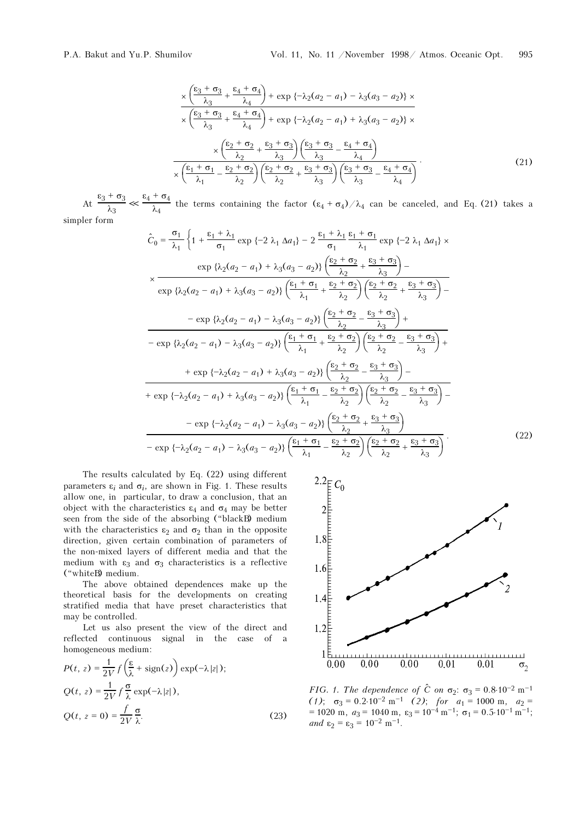$$
\frac{\times \left(\frac{\epsilon_3 + \sigma_3}{\lambda_3} + \frac{\epsilon_4 + \sigma_4}{\lambda_4}\right) + \exp\left\{-\lambda_2(a_2 - a_1) - \lambda_3(a_3 - a_2)\right\} \times \left(\frac{\epsilon_3 + \sigma_3}{\lambda_3} + \frac{\epsilon_4 + \sigma_4}{\lambda_4}\right) + \exp\left\{-\lambda_2(a_2 - a_1) + \lambda_3(a_3 - a_2)\right\} \times \left(\frac{\epsilon_2 + \sigma_2}{\lambda_2} + \frac{\epsilon_3 + \sigma_3}{\lambda_3}\right) \left(\frac{\epsilon_3 + \sigma_3}{\lambda_3} - \frac{\epsilon_4 + \sigma_4}{\lambda_4}\right) \times \left(\frac{\epsilon_1 + \sigma_1}{\lambda_1} - \frac{\epsilon_2 + \sigma_2}{\lambda_2}\right) \left(\frac{\epsilon_2 + \sigma_2}{\lambda_2} + \frac{\epsilon_3 + \sigma_3}{\lambda_3}\right) \left(\frac{\epsilon_3 + \sigma_3}{\lambda_3} - \frac{\epsilon_4 + \sigma_4}{\lambda_4}\right) \tag{21}
$$

At  $\frac{\epsilon_3+\sigma_3}{\lambda_3} \ll \frac{\epsilon_4+\sigma_4}{\lambda_4}$  the terms containing the factor  $(\epsilon_4+\sigma_4)/\lambda_4$  can be canceled, and Eq. (21) takes a simpler form

$$
\hat{C}_0 = \frac{\sigma_1}{\lambda_1} \left\{ 1 + \frac{\epsilon_1 + \lambda_1}{\sigma_1} \exp \{-2 \lambda_1 \Delta a_1\} - 2 \frac{\epsilon_1 + \lambda_1}{\sigma_1} \frac{\epsilon_1 + \sigma_1}{\lambda_1} \exp \{-2 \lambda_1 \Delta a_1\} \times \frac{\exp \{\lambda_2(a_2 - a_1) + \lambda_3(a_3 - a_2)\} \left(\frac{\epsilon_2 + \sigma_2}{\lambda_2} + \frac{\epsilon_3 + \sigma_3}{\lambda_3}\right) - \frac{\exp \{\lambda_2(a_2 - a_1) + \lambda_3(a_3 - a_2)\} \left(\frac{\epsilon_1 + \sigma_1}{\lambda_1} + \frac{\epsilon_2 + \sigma_2}{\lambda_2}\right) \left(\frac{\epsilon_2 + \sigma_2}{\lambda_2} + \frac{\epsilon_3 + \sigma_3}{\lambda_3}\right) - \frac{\exp \{\lambda_2(a_2 - a_1) - \lambda_3(a_3 - a_2)\} \left(\frac{\epsilon_1 + \sigma_1}{\lambda_2} + \frac{\epsilon_2 + \sigma_2}{\lambda_3}\right) + \frac{\exp \{\lambda_2(a_2 - a_1) - \lambda_3(a_3 - a_2)\} \left(\frac{\epsilon_1 + \sigma_1}{\lambda_1} + \frac{\epsilon_2 + \sigma_2}{\lambda_2}\right) \left(\frac{\epsilon_2 + \sigma_2}{\lambda_2} - \frac{\epsilon_3 + \sigma_3}{\lambda_3}\right) + \frac{\exp \{\lambda_2(a_2 - a_1) + \lambda_3(a_3 - a_2)\} \left(\frac{\epsilon_2 + \sigma_2}{\lambda_2} - \frac{\epsilon_3 + \sigma_3}{\lambda_3}\right) - \frac{\exp \{\lambda_2(a_2 - a_1) + \lambda_3(a_3 - a_2)\} \left(\frac{\epsilon_2 + \sigma_2}{\lambda_1} - \frac{\epsilon_2 + \sigma_2}{\lambda_2}\right) \left(\frac{\epsilon_2 + \sigma_2}{\lambda_2} - \frac{\epsilon_3 + \sigma_3}{\lambda_3}\right) - \frac{\exp \{\lambda_2(a_2 - a_1) - \lambda_3(a_3 - a_2)\} \left(\frac{\epsilon_2 + \sigma_2}{\lambda_2} + \frac{\epsilon_3 + \sigma_3}{\lambda_3}\right)}{\left(\frac{\epsilon_2 + \sigma_2}{\lambda_2} + \frac{\epsilon_3 + \sigma_3}{\
$$

The results calculated by Eq. (22) using different parameters  $\varepsilon_i$  and  $\sigma_i$ , are shown in Fig. 1. These results allow one, in particular, to draw a conclusion, that an object with the characteristics  $\varepsilon_4$  and  $\sigma_4$  may be better seen from the side of the absorbing ("blackB) medium with the characteristics  $\varepsilon_2$  and  $\sigma_2$  than in the opposite direction, given certain combination of parameters of the non-mixed layers of different media and that the medium with  $\varepsilon_3$  and  $\sigma_3$  characteristics is a reflective ("whiteB) medium.

 $\rightarrow$ 

The above obtained dependences make up the theoretical basis for the developments on creating stratified media that have preset characteristics that may be controlled.

Let us also present the view of the direct and reflected continuous signal in the case of a homogeneous medium:

$$
P(t, z) = \frac{1}{2V} f\left(\frac{\varepsilon}{\lambda} + \text{sign}(z)\right) \exp(-\lambda |z|);
$$
  
\n
$$
Q(t, z) = \frac{1}{2V} f\frac{\sigma}{\lambda} \exp(-\lambda |z|),
$$
  
\n
$$
Q(t, z = 0) = \frac{f}{2V} \frac{\sigma}{\lambda}.
$$
\n(23)



FIG. 1. The dependence of  $\hat{C}$  on  $\sigma_2$ :  $\sigma_3 = 0.8 \cdot 10^{-2}$  m<sup>-1</sup> (1);  $\sigma_3 = 0.2 \cdot 10^{-2} \text{ m}^{-1}$  (2); for  $a_1 = 1000 \text{ m}$ ,  $a_2 =$  $= 1020$  m,  $a_3 = 1040$  m,  $\varepsilon_3 = 10^{-4}$  m<sup>-1</sup>;  $\sigma_1 = 0.5 \cdot 10^{-1}$  m<sup>-1</sup>; and  $\varepsilon_2 = \varepsilon_3 = 10^{-2} \text{ m}^{-1}$ .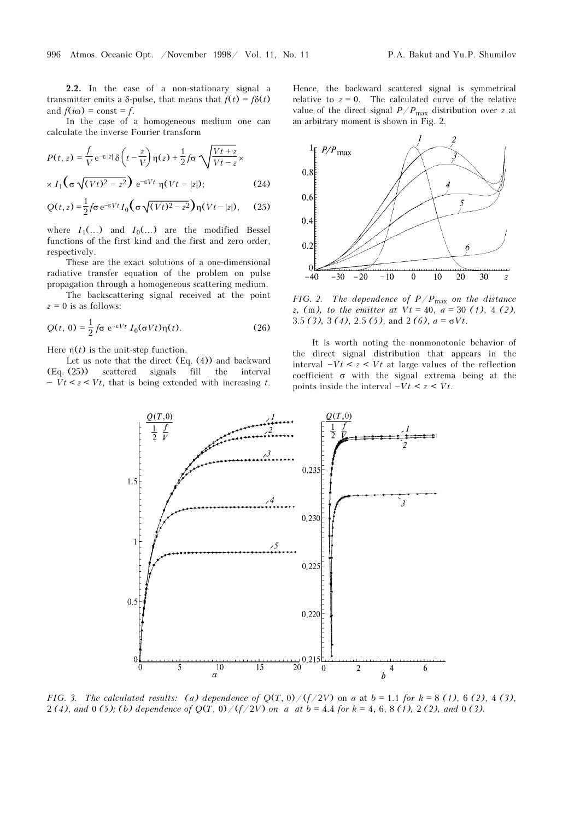In the case of a homogeneous medium one can calculate the inverse Fourier transform

$$
P(t, z) = \frac{f}{V} e^{-\epsilon |z|} \delta\left(t - \frac{z}{V}\right) \eta(z) + \frac{1}{2} f \sigma \sqrt{\frac{Vt + z}{Vt - z}} \times \frac{1}{\lambda \left(\sigma \sqrt{(Vt)^2 - z^2}\right)} e^{-\epsilon Vt} \eta(Vt - |z|); \tag{24}
$$

$$
Q(t,z) = \frac{1}{2} f \sigma e^{-\varepsilon V t} I_0 \left( \sigma \sqrt{(Vt)^2 - z^2} \right) \eta (Vt - |z|), \quad (25)
$$

where  $I_1(\ldots)$  and  $I_0(\ldots)$  are the modified Bessel functions of the first kind and the first and zero order, respectively.

These are the exact solutions of a one-dimensional radiative transfer equation of the problem on pulse propagation through a homogeneous scattering medium.

The backscattering signal received at the point  $z = 0$  is as follows:

$$
Q(t, 0) = \frac{1}{2} f \sigma e^{-\varepsilon V t} I_0(\sigma V t) \eta(t).
$$
 (26)

Here  $\eta(t)$  is the unit-step function.

Let us note that the direct  $(Eq. (4))$  and backward (Eq. (25)) scattered signals fill the interval  $- Vt < z < Vt$ , that is being extended with increasing t.

Hence, the backward scattered signal is symmetrical relative to  $z = 0$ . The calculated curve of the relative value of the direct signal  $P/P_{\text{max}}$  distribution over z at an arbitrary moment is shown in Fig. 2.



FIG. 2. The dependence of  $P/P_{\text{max}}$  on the distance z, (m), to the emitter at  $Vt = 40$ ,  $a = 30$  (1), 4 (2), 3.5 (3), 3 (4), 2.5 (5), and 2 (6),  $a = \sigma Vt$ .

It is worth noting the nonmonotonic behavior of the direct signal distribution that appears in the interval  $-Vt < z < Vt$  at large values of the reflection coefficient  $\sigma$  with the signal extrema being at the points inside the interval  $-Vt < z < Vt$ .



FIG. 3. The calculated results: (a) dependence of  $Q(T, 0)/(f/2V)$  on a at  $b = 1.1$  for  $k = 8$  (1), 6 (2), 4 (3), 2 (4), and 0 (5); (b) dependence of  $Q(T, 0)/(f/2V)$  on a at  $b = 4.4$  for  $k = 4, 6, 8$  (1), 2 (2), and 0 (3).